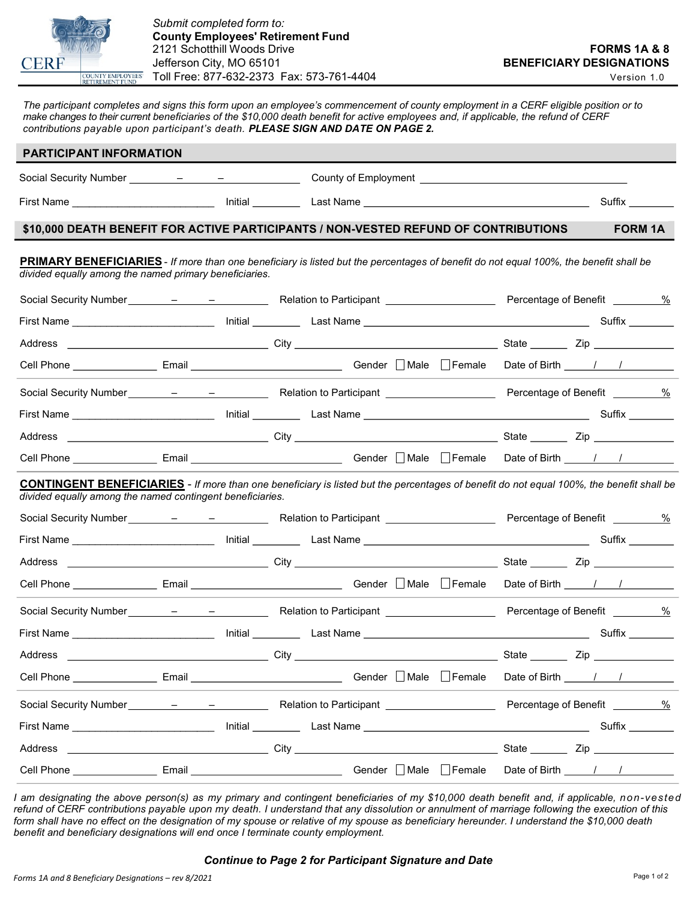

The participant completes and signs this form upon an employee's commencement of county employment in a CERF eligible position or to make changes to their current beneficiaries of the \$10,000 death benefit for active employees and, if applicable, the refund of CERF contributions payable upon participant's death. PLEASE SIGN AND DATE ON PAGE 2.

| <b>PARTICIPANT INFORMATION</b>                                                                                                                                                                               |                  |  |                                                                                     |  |  |                                   |                                   |                |                 |  |
|--------------------------------------------------------------------------------------------------------------------------------------------------------------------------------------------------------------|------------------|--|-------------------------------------------------------------------------------------|--|--|-----------------------------------|-----------------------------------|----------------|-----------------|--|
|                                                                                                                                                                                                              |                  |  |                                                                                     |  |  |                                   |                                   |                |                 |  |
|                                                                                                                                                                                                              |                  |  |                                                                                     |  |  |                                   |                                   |                | Suffix ________ |  |
|                                                                                                                                                                                                              |                  |  | \$10,000 DEATH BENEFIT FOR ACTIVE PARTICIPANTS / NON-VESTED REFUND OF CONTRIBUTIONS |  |  |                                   |                                   | <b>FORM 1A</b> |                 |  |
| <b>PRIMARY BENEFICIARIES</b> - If more than one beneficiary is listed but the percentages of benefit do not equal 100%, the benefit shall be<br>divided equally among the named primary beneficiaries.       |                  |  |                                                                                     |  |  |                                   |                                   |                |                 |  |
|                                                                                                                                                                                                              |                  |  |                                                                                     |  |  |                                   | Percentage of Benefit _________ % |                |                 |  |
|                                                                                                                                                                                                              |                  |  |                                                                                     |  |  |                                   |                                   |                |                 |  |
|                                                                                                                                                                                                              |                  |  |                                                                                     |  |  |                                   |                                   |                |                 |  |
|                                                                                                                                                                                                              |                  |  |                                                                                     |  |  |                                   |                                   |                |                 |  |
|                                                                                                                                                                                                              |                  |  |                                                                                     |  |  |                                   |                                   |                |                 |  |
|                                                                                                                                                                                                              |                  |  |                                                                                     |  |  |                                   |                                   |                |                 |  |
|                                                                                                                                                                                                              |                  |  |                                                                                     |  |  |                                   |                                   |                |                 |  |
| Cell Phone __________________Email _________________________________Gender □ Male □ Female Date of Birth _____/ /                                                                                            |                  |  |                                                                                     |  |  |                                   |                                   |                |                 |  |
| <b>CONTINGENT BENEFICIARIES</b> - If more than one beneficiary is listed but the percentages of benefit do not equal 100%, the benefit shall be<br>divided equally among the named contingent beneficiaries. |                  |  |                                                                                     |  |  |                                   |                                   |                |                 |  |
|                                                                                                                                                                                                              |                  |  |                                                                                     |  |  |                                   | Percentage of Benefit _________%  |                |                 |  |
|                                                                                                                                                                                                              |                  |  |                                                                                     |  |  |                                   |                                   |                |                 |  |
| Address                                                                                                                                                                                                      |                  |  |                                                                                     |  |  |                                   |                                   |                |                 |  |
|                                                                                                                                                                                                              |                  |  |                                                                                     |  |  |                                   |                                   |                |                 |  |
|                                                                                                                                                                                                              |                  |  |                                                                                     |  |  |                                   |                                   |                |                 |  |
|                                                                                                                                                                                                              |                  |  |                                                                                     |  |  |                                   |                                   |                | Suffix ________ |  |
| Address                                                                                                                                                                                                      | <u>City</u> 2014 |  |                                                                                     |  |  | <b>Contract Contract Contract</b> |                                   |                |                 |  |
|                                                                                                                                                                                                              |                  |  |                                                                                     |  |  |                                   |                                   |                |                 |  |
|                                                                                                                                                                                                              |                  |  |                                                                                     |  |  |                                   |                                   |                |                 |  |
|                                                                                                                                                                                                              |                  |  |                                                                                     |  |  |                                   |                                   |                |                 |  |
|                                                                                                                                                                                                              |                  |  |                                                                                     |  |  |                                   |                                   |                |                 |  |
|                                                                                                                                                                                                              |                  |  |                                                                                     |  |  |                                   |                                   |                |                 |  |

I am designating the above person(s) as my primary and contingent beneficiaries of my \$10,000 death benefit and, if applicable, non-vested refund of CERF contributions payable upon my death. I understand that any dissolution or annulment of marriage following the execution of this form shall have no effect on the designation of my spouse or relative of my spouse as beneficiary hereunder. I understand the \$10,000 death benefit and beneficiary designations will end once I terminate county employment.

## Continue to Page 2 for Participant Signature and Date